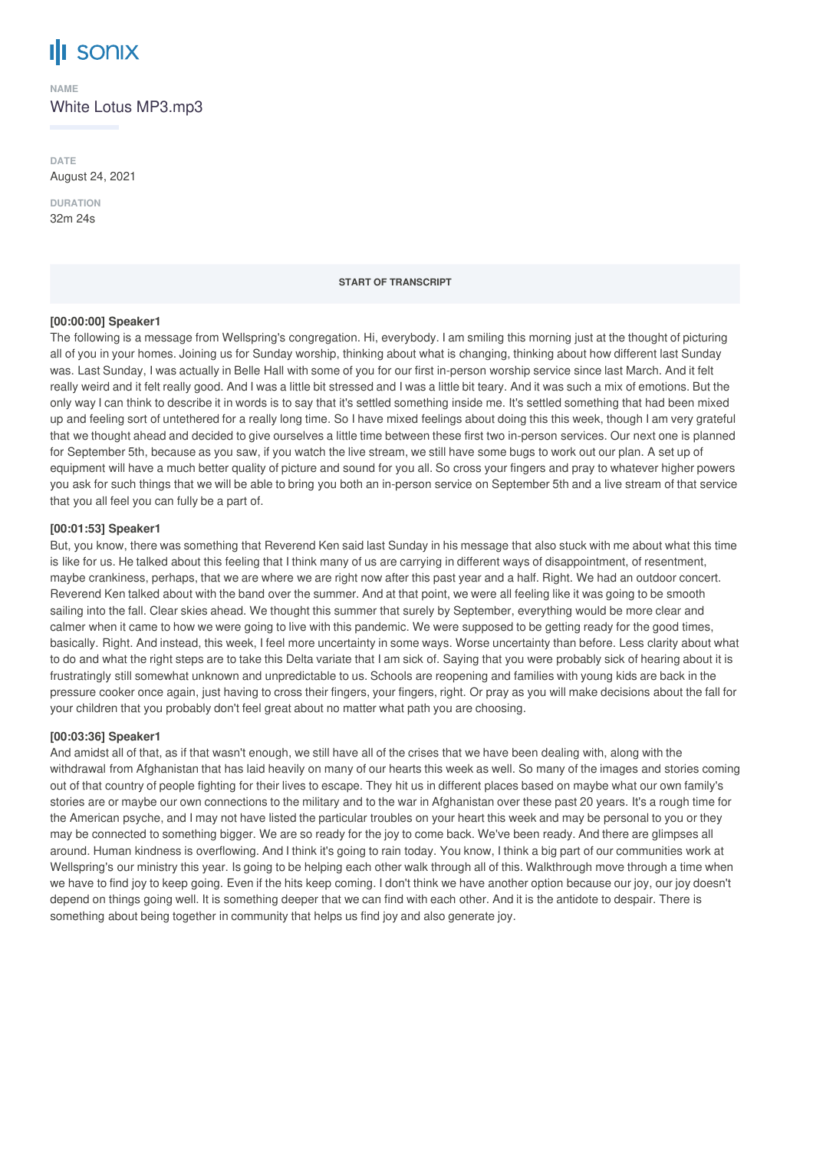# **SONIX**

**NAME** White Lotus MP3.mp3

**DATE** August 24, 2021

**DURATION** 32m 24s

#### **START OF TRANSCRIPT**

#### **[00:00:00] Speaker1**

The following is a message from Wellspring's congregation. Hi, everybody. I am smiling this morning just at the thought of picturing all of you in your homes. Joining us for Sunday worship, thinking about what is changing, thinking about how different last Sunday was. Last Sunday, I was actually in Belle Hall with some of you for our first in-person worship service since last March. And it felt really weird and it felt really good. And I was a little bit stressed and I was a little bit teary. And it was such a mix of emotions. But the only way I can think to describe it in words is to say that it's settled something inside me. It's settled something that had been mixed up and feeling sort of untethered for a really long time. So I have mixed feelings about doing this this week, though I am very grateful that we thought ahead and decided to give ourselves a little time between these first two in-person services. Our next one is planned for September 5th, because as you saw, if you watch the live stream, we still have some bugs to work out our plan. A set up of equipment will have a much better quality of picture and sound for you all. So cross your fingers and pray to whatever higher powers you ask for such things that we will be able to bring you both an in-person service on September 5th and a live stream of that service that you all feel you can fully be a part of.

#### **[00:01:53] Speaker1**

But, you know, there was something that Reverend Ken said last Sunday in his message that also stuck with me about what this time is like for us. He talked about this feeling that I think many of us are carrying in different ways of disappointment, of resentment, maybe crankiness, perhaps, that we are where we are right now after this past year and a half. Right. We had an outdoor concert. Reverend Ken talked about with the band over the summer. And at that point, we were all feeling like it was going to be smooth sailing into the fall. Clear skies ahead. We thought this summer that surely by September, everything would be more clear and calmer when it came to how we were going to live with this pandemic. We were supposed to be getting ready for the good times, basically. Right. And instead, this week, I feel more uncertainty in some ways. Worse uncertainty than before. Less clarity about what to do and what the right steps are to take this Delta variate that I am sick of. Saying that you were probably sick of hearing about it is frustratingly still somewhat unknown and unpredictable to us. Schools are reopening and families with young kids are back in the pressure cooker once again, just having to cross their fingers, your fingers, right. Or pray as you will make decisions about the fall for your children that you probably don't feel great about no matter what path you are choosing.

#### **[00:03:36] Speaker1**

And amidst all of that, as if that wasn't enough, we still have all of the crises that we have been dealing with, along with the withdrawal from Afghanistan that has laid heavily on many of our hearts this week as well. So many of the images and stories coming out of that country of people fighting for their lives to escape. They hit us in different places based on maybe what our own family's stories are or maybe our own connections to the military and to the war in Afghanistan over these past 20 years. It's a rough time for the American psyche, and I may not have listed the particular troubles on your heart this week and may be personal to you or they may be connected to something bigger. We are so ready for the joy to come back. We've been ready. And there are glimpses all around. Human kindness is overflowing. And I think it's going to rain today. You know, I think a big part of our communities work at Wellspring's our ministry this year. Is going to be helping each other walk through all of this. Walkthrough move through a time when we have to find joy to keep going. Even if the hits keep coming. I don't think we have another option because our joy, our joy doesn't depend on things going well. It is something deeper that we can find with each other. And it is the antidote to despair. There is something about being together in community that helps us find joy and also generate joy.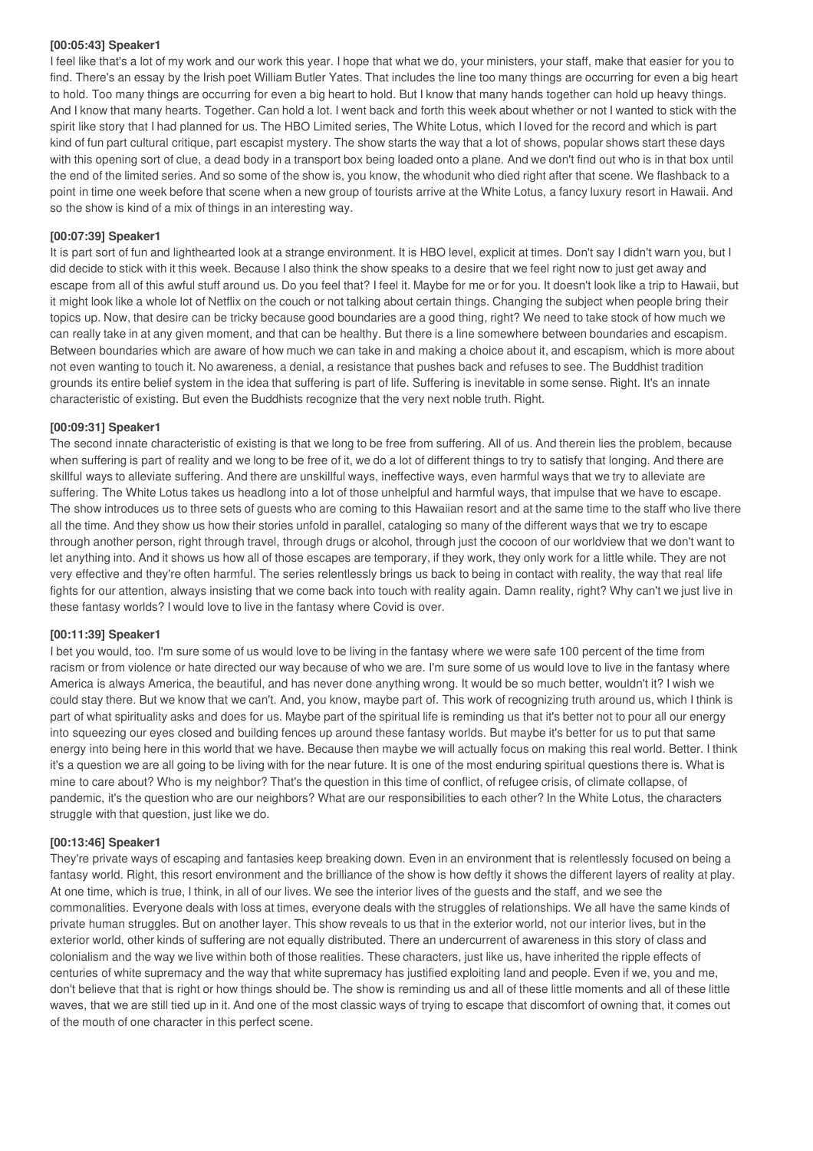#### **[00:05:43] Speaker1**

I feel like that's a lot of my work and our work this year. I hope that what we do, your ministers, your staff, make that easier for you to find. There's an essay by the Irish poet William Butler Yates. That includes the line too many things are occurring for even a big heart to hold. Too many things are occurring for even a big heart to hold. But I know that many hands together can hold up heavy things. And I know that many hearts. Together. Can hold a lot. I went back and forth this week about whether or not I wanted to stick with the spirit like story that I had planned for us. The HBO Limited series, The White Lotus, which I loved for the record and which is part kind of fun part cultural critique, part escapist mystery. The show starts the way that a lot of shows, popular shows start these days with this opening sort of clue, a dead body in a transport box being loaded onto a plane. And we don't find out who is in that box until the end of the limited series. And so some of the show is, you know, the whodunit who died right after that scene. We flashback to a point in time one week before that scene when a new group of tourists arrive at the White Lotus, a fancy luxury resort in Hawaii. And so the show is kind of a mix of things in an interesting way.

#### **[00:07:39] Speaker1**

It is part sort of fun and lighthearted look at a strange environment. It is HBO level, explicit at times. Don't say I didn't warn you, but I did decide to stick with it this week. Because I also think the show speaks to a desire that we feel right now to just get away and escape from all of this awful stuff around us. Do you feel that? I feel it. Maybe for me or for you. It doesn't look like a trip to Hawaii, but it might look like a whole lot of Netflix on the couch or not talking about certain things. Changing the subject when people bring their topics up. Now, that desire can be tricky because good boundaries are a good thing, right? We need to take stock of how much we can really take in at any given moment, and that can be healthy. But there is a line somewhere between boundaries and escapism. Between boundaries which are aware of how much we can take in and making a choice about it, and escapism, which is more about not even wanting to touch it. No awareness, a denial, a resistance that pushes back and refuses to see. The Buddhist tradition grounds its entire belief system in the idea that suffering is part of life. Suffering is inevitable in some sense. Right. It's an innate characteristic of existing. But even the Buddhists recognize that the very next noble truth. Right.

#### **[00:09:31] Speaker1**

The second innate characteristic of existing is that we long to be free from suffering. All of us. And therein lies the problem, because when suffering is part of reality and we long to be free of it, we do a lot of different things to try to satisfy that longing. And there are skillful ways to alleviate suffering. And there are unskillful ways, ineffective ways, even harmful ways that we try to alleviate are suffering. The White Lotus takes us headlong into a lot of those unhelpful and harmful ways, that impulse that we have to escape. The show introduces us to three sets of guests who are coming to this Hawaiian resort and at the same time to the staff who live there all the time. And they show us how their stories unfold in parallel, cataloging so many of the different ways that we try to escape through another person, right through travel, through drugs or alcohol, through just the cocoon of our worldview that we don't want to let anything into. And it shows us how all of those escapes are temporary, if they work, they only work for a little while. They are not very effective and they're often harmful. The series relentlessly brings us back to being in contact with reality, the way that real life fights for our attention, always insisting that we come back into touch with reality again. Damn reality, right? Why can't we just live in these fantasy worlds? I would love to live in the fantasy where Covid is over.

#### **[00:11:39] Speaker1**

I bet you would, too. I'm sure some of us would love to be living in the fantasy where we were safe 100 percent of the time from racism or from violence or hate directed our way because of who we are. I'm sure some of us would love to live in the fantasy where America is always America, the beautiful, and has never done anything wrong. It would be so much better, wouldn't it? I wish we could stay there. But we know that we can't. And, you know, maybe part of. This work of recognizing truth around us, which I think is part of what spirituality asks and does for us. Maybe part of the spiritual life is reminding us that it's better not to pour all our energy into squeezing our eyes closed and building fences up around these fantasy worlds. But maybe it's better for us to put that same energy into being here in this world that we have. Because then maybe we will actually focus on making this real world. Better. I think it's a question we are all going to be living with for the near future. It is one of the most enduring spiritual questions there is. What is mine to care about? Who is my neighbor? That's the question in this time of conflict, of refugee crisis, of climate collapse, of pandemic, it's the question who are our neighbors? What are our responsibilities to each other? In the White Lotus, the characters struggle with that question, just like we do.

### **[00:13:46] Speaker1**

They're private ways of escaping and fantasies keep breaking down. Even in an environment that is relentlessly focused on being a fantasy world. Right, this resort environment and the brilliance of the show is how deftly it shows the different layers of reality at play. At one time, which is true, I think, in all of our lives. We see the interior lives of the guests and the staff, and we see the commonalities. Everyone deals with loss at times, everyone deals with the struggles of relationships. We all have the same kinds of private human struggles. But on another layer. This show reveals to us that in the exterior world, not our interior lives, but in the exterior world, other kinds of suffering are not equally distributed. There an undercurrent of awareness in this story of class and colonialism and the way we live within both of those realities. These characters, just like us, have inherited the ripple effects of centuries of white supremacy and the way that white supremacy has justified exploiting land and people. Even if we, you and me, don't believe that that is right or how things should be. The show is reminding us and all of these little moments and all of these little waves, that we are still tied up in it. And one of the most classic ways of trying to escape that discomfort of owning that, it comes out of the mouth of one character in this perfect scene.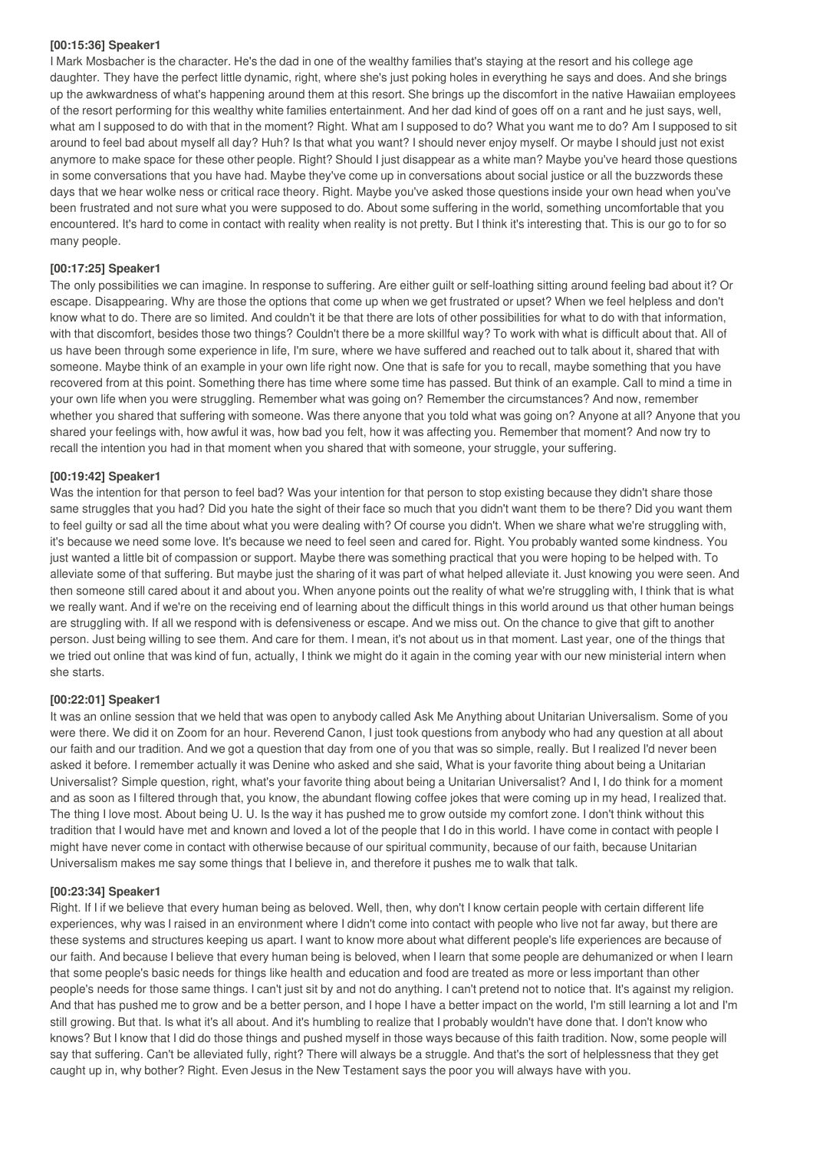#### **[00:15:36] Speaker1**

I Mark Mosbacher is the character. He's the dad in one of the wealthy families that's staying at the resort and his college age daughter. They have the perfect little dynamic, right, where she's just poking holes in everything he says and does. And she brings up the awkwardness of what's happening around them at this resort. She brings up the discomfort in the native Hawaiian employees of the resort performing for this wealthy white families entertainment. And her dad kind of goes off on a rant and he just says, well, what am Isupposed to do with that in the moment? Right. What am I supposed to do? What you want me to do? Am I supposed to sit around to feel bad about myself all day? Huh? Is that what you want? I should never enjoy myself. Or maybe I should just not exist anymore to make space for these other people. Right? Should I just disappear as a white man? Maybe you've heard those questions in some conversations that you have had. Maybe they've come up in conversations about social justice or all the buzzwords these days that we hear wolke ness or critical race theory. Right. Maybe you've asked those questions inside your own head when you've been frustrated and not sure what you were supposed to do. About some suffering in the world, something uncomfortable that you encountered. It's hard to come in contact with reality when reality is not pretty. But I think it's interesting that. This is our go to for so many people.

#### **[00:17:25] Speaker1**

The only possibilities we can imagine. In response to suffering. Are either guilt or self-loathing sitting around feeling bad about it? Or escape. Disappearing. Why are those the options that come up when we get frustrated or upset? When we feel helpless and don't know what to do. There are so limited. And couldn't it be that there are lots of other possibilities for what to do with that information, with that discomfort, besides those two things? Couldn't there be a more skillful way? To work with what is difficult about that. All of us have been through some experience in life, I'm sure, where we have suffered and reached out to talk about it, shared that with someone. Maybe think of an example in your own life right now. One that is safe for you to recall, maybe something that you have recovered from at this point. Something there has time where some time has passed. But think of an example. Call to mind a time in your own life when you were struggling. Remember what was going on? Remember the circumstances? And now, remember whether you shared that suffering with someone. Was there anyone that you told what was going on? Anyone at all? Anyone that you shared your feelings with, how awful it was, how bad you felt, how it was affecting you. Remember that moment? And now try to recall the intention you had in that moment when you shared that with someone, your struggle, your suffering.

#### **[00:19:42] Speaker1**

Was the intention for that person to feel bad? Was your intention for that person to stop existing because they didn't share those same struggles that you had? Did you hate the sight of their face so much that you didn't want them to be there? Did you want them to feel guilty or sad all the time about what you were dealing with? Of course you didn't. When we share what we're struggling with, it's because we need some love. It's because we need to feel seen and cared for. Right. You probably wanted some kindness. You just wanted a little bit of compassion or support. Maybe there was something practical that you were hoping to be helped with. To alleviate some of that suffering. But maybe just the sharing of it was part of what helped alleviate it. Just knowing you were seen. And then someone still cared about it and about you. When anyone points out the reality of what we're struggling with, I think that is what we really want. And if we're on the receiving end of learning about the difficult things in this world around us that other human beings are struggling with. If all we respond with is defensiveness or escape. And we miss out. On the chance to give that gift to another person. Just being willing to see them. And care for them. I mean, it's not about us in that moment. Last year, one of the things that we tried out online that was kind of fun, actually, I think we might do it again in the coming year with our new ministerial intern when she starts.

#### **[00:22:01] Speaker1**

It was an online session that we held that was open to anybody called Ask Me Anything about Unitarian Universalism. Some of you were there. We did it on Zoom for an hour. Reverend Canon, I just took questions from anybody who had any question at all about our faith and our tradition. And we got a question that day from one of you that was so simple, really. But I realized I'd never been asked it before. I remember actually it was Denine who asked and she said, What is your favorite thing about being a Unitarian Universalist? Simple question, right, what's your favorite thing about being a Unitarian Universalist? And I, I do think for a moment and as soon as I filtered through that, you know, the abundant flowing coffee jokes that were coming up in my head, I realized that. The thing I love most. About being U. U. Is the way it has pushed me to grow outside my comfort zone. I don't think without this tradition that I would have met and known and loved a lot of the people that I do in this world. I have come in contact with people I might have never come in contact with otherwise because of our spiritual community, because of our faith, because Unitarian Universalism makes me say some things that I believe in, and therefore it pushes me to walk that talk.

#### **[00:23:34] Speaker1**

Right. If I if we believe that every human being as beloved. Well, then, why don't I know certain people with certain different life experiences, why was I raised in an environment where I didn't come into contact with people who live not far away, but there are these systems and structures keeping us apart. I want to know more about what different people's life experiences are because of our faith. And because I believe that every human being is beloved, when I learn that some people are dehumanized or when I learn that some people's basic needs for things like health and education and food are treated as more or less important than other people's needs for those same things. I can't just sit by and not do anything. I can't pretend not to notice that. It's against my religion. And that has pushed me to grow and be a better person, and I hope I have a better impact on the world, I'm still learning a lot and I'm still growing. But that. Is what it's all about. And it's humbling to realize that I probably wouldn't have done that. I don't know who knows? But I know that I did do those things and pushed myself in those ways because of this faith tradition. Now, some people will say that suffering. Can't be alleviated fully, right? There will always be a struggle. And that's the sort of helplessness that they get caught up in, why bother? Right. Even Jesus in the New Testament says the poor you will always have with you.